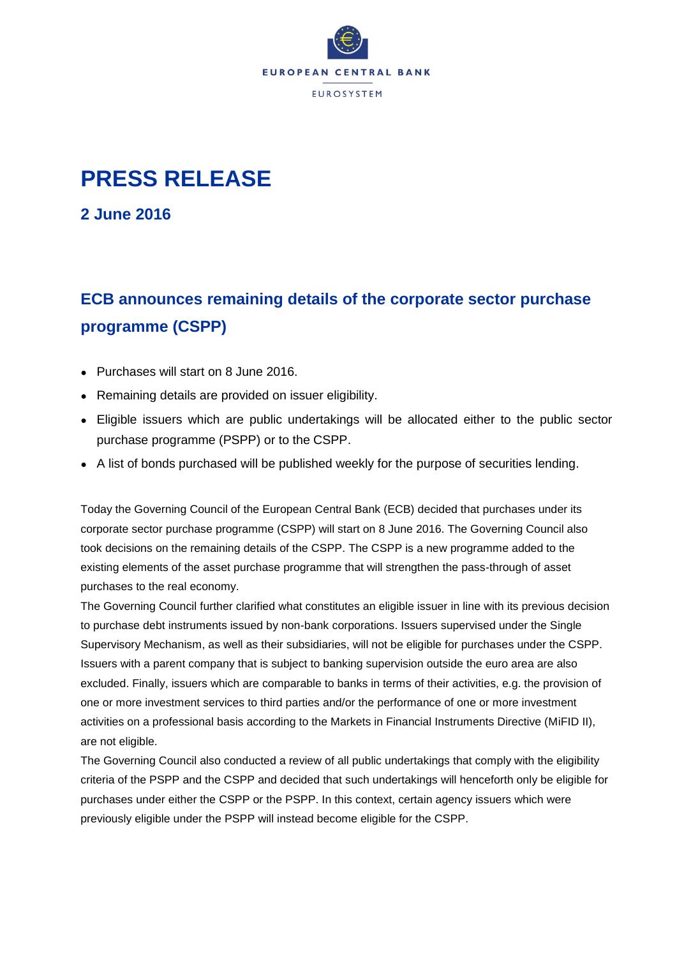

## **PRESS RELEASE**

**2 June 2016**

## **ECB announces remaining details of the corporate sector purchase programme (CSPP)**

- Purchases will start on 8 June 2016.
- Remaining details are provided on issuer eligibility.
- Eligible issuers which are public undertakings will be allocated either to the public sector purchase programme (PSPP) or to the CSPP.
- A list of bonds purchased will be published weekly for the purpose of securities lending.

Today the Governing Council of the European Central Bank (ECB) decided that purchases under its corporate sector purchase programme (CSPP) will start on 8 June 2016. The Governing Council also took decisions on the remaining details of the CSPP. The CSPP is a new programme added to the existing elements of the asset purchase programme that will strengthen the pass-through of asset purchases to the real economy.

The Governing Council further clarified what constitutes an eligible issuer in line with its previous decision to purchase debt instruments issued by non-bank corporations. Issuers supervised under the Single Supervisory Mechanism, as well as their subsidiaries, will not be eligible for purchases under the CSPP. Issuers with a parent company that is subject to banking supervision outside the euro area are also excluded. Finally, issuers which are comparable to banks in terms of their activities, e.g. the provision of one or more investment services to third parties and/or the performance of one or more investment activities on a professional basis according to the Markets in Financial Instruments Directive (MiFID II), are not eligible.

The Governing Council also conducted a review of all public undertakings that comply with the eligibility criteria of the PSPP and the CSPP and decided that such undertakings will henceforth only be eligible for purchases under either the CSPP or the PSPP. In this context, certain agency issuers which were previously eligible under the PSPP will instead become eligible for the CSPP.